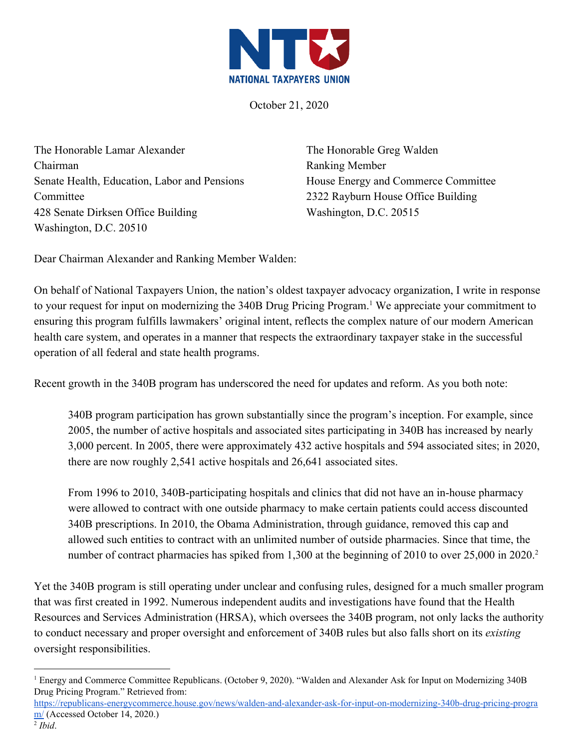

October 21, 2020

The Honorable Lamar Alexander Chairman Senate Health, Education, Labor and Pensions Committee 428 Senate Dirksen Office Building Washington, D.C. 20510

The Honorable Greg Walden Ranking Member House Energy and Commerce Committee 2322 Rayburn House Office Building Washington, D.C. 20515

Dear Chairman Alexander and Ranking Member Walden:

On behalf of National Taxpayers Union, the nation's oldest taxpayer advocacy organization, I write in response to your request for input on modernizing the 340B Drug Pricing Program.<sup>1</sup> We appreciate your commitment to ensuring this program fulfills lawmakers' original intent, reflects the complex nature of our modern American health care system, and operates in a manner that respects the extraordinary taxpayer stake in the successful operation of all federal and state health programs.

Recent growth in the 340B program has underscored the need for updates and reform. As you both note:

340B program participation has grown substantially since the program's inception. For example, since 2005, the number of active hospitals and associated sites participating in 340B has increased by nearly 3,000 percent. In 2005, there were approximately 432 active hospitals and 594 associated sites; in 2020, there are now roughly 2,541 active hospitals and 26,641 associated sites.

From 1996 to 2010, 340B-participating hospitals and clinics that did not have an in-house pharmacy were allowed to contract with one outside pharmacy to make certain patients could access discounted 340B prescriptions. In 2010, the Obama Administration, through guidance, removed this cap and allowed such entities to contract with an unlimited number of outside pharmacies. Since that time, the number of contract pharmacies has spiked from 1,300 at the beginning of 2010 to over 25,000 in 2020.<sup>2</sup>

Yet the 340B program is still operating under unclear and confusing rules, designed for a much smaller program that was first created in 1992. Numerous independent audits and investigations have found that the Health Resources and Services Administration (HRSA), which oversees the 340B program, not only lacks the authority to conduct necessary and proper oversight and enforcement of 340B rules but also falls short on its *existing* oversight responsibilities.

<sup>1</sup> Energy and Commerce Committee Republicans. (October 9, 2020). "Walden and Alexander Ask for Input on Modernizing 340B Drug Pricing Program." Retrieved from:

[https://republicans-energycommerce.house.gov/news/walden-and-alexander-ask-for-input-on-modernizing-340b-drug-pricing-progra](https://republicans-energycommerce.house.gov/news/walden-and-alexander-ask-for-input-on-modernizing-340b-drug-pricing-program/) [m/](https://republicans-energycommerce.house.gov/news/walden-and-alexander-ask-for-input-on-modernizing-340b-drug-pricing-program/) (Accessed October 14, 2020.)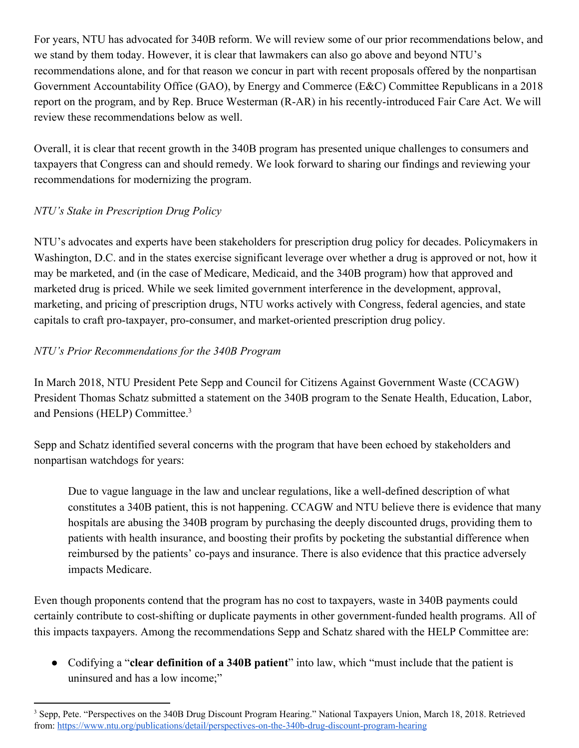For years, NTU has advocated for 340B reform. We will review some of our prior recommendations below, and we stand by them today. However, it is clear that lawmakers can also go above and beyond NTU's recommendations alone, and for that reason we concur in part with recent proposals offered by the nonpartisan Government Accountability Office (GAO), by Energy and Commerce (E&C) Committee Republicans in a 2018 report on the program, and by Rep. Bruce Westerman (R-AR) in his recently-introduced Fair Care Act. We will review these recommendations below as well.

Overall, it is clear that recent growth in the 340B program has presented unique challenges to consumers and taxpayers that Congress can and should remedy. We look forward to sharing our findings and reviewing your recommendations for modernizing the program.

## *NTU's Stake in Prescription Drug Policy*

NTU's advocates and experts have been stakeholders for prescription drug policy for decades. Policymakers in Washington, D.C. and in the states exercise significant leverage over whether a drug is approved or not, how it may be marketed, and (in the case of Medicare, Medicaid, and the 340B program) how that approved and marketed drug is priced. While we seek limited government interference in the development, approval, marketing, and pricing of prescription drugs, NTU works actively with Congress, federal agencies, and state capitals to craft pro-taxpayer, pro-consumer, and market-oriented prescription drug policy.

## *NTU's Prior Recommendations for the 340B Program*

In March 2018, NTU President Pete Sepp and Council for Citizens Against Government Waste (CCAGW) President Thomas Schatz submitted a statement on the 340B program to the Senate Health, Education, Labor, and Pensions (HELP) Committee.<sup>3</sup>

Sepp and Schatz identified several concerns with the program that have been echoed by stakeholders and nonpartisan watchdogs for years:

Due to vague language in the law and unclear regulations, like a well-defined description of what constitutes a 340B patient, this is not happening. CCAGW and NTU believe there is evidence that many hospitals are abusing the 340B program by purchasing the deeply discounted drugs, providing them to patients with health insurance, and boosting their profits by pocketing the substantial difference when reimbursed by the patients' co-pays and insurance. There is also evidence that this practice adversely impacts Medicare.

Even though proponents contend that the program has no cost to taxpayers, waste in 340B payments could certainly contribute to cost-shifting or duplicate payments in other government-funded health programs. All of this impacts taxpayers. Among the recommendations Sepp and Schatz shared with the HELP Committee are:

● Codifying a "**clear definition of a 340B patient**" into law, which "must include that the patient is uninsured and has a low income;"

<sup>&</sup>lt;sup>3</sup> Sepp, Pete. "Perspectives on the 340B Drug Discount Program Hearing." National Taxpayers Union, March 18, 2018. Retrieved from: <https://www.ntu.org/publications/detail/perspectives-on-the-340b-drug-discount-program-hearing>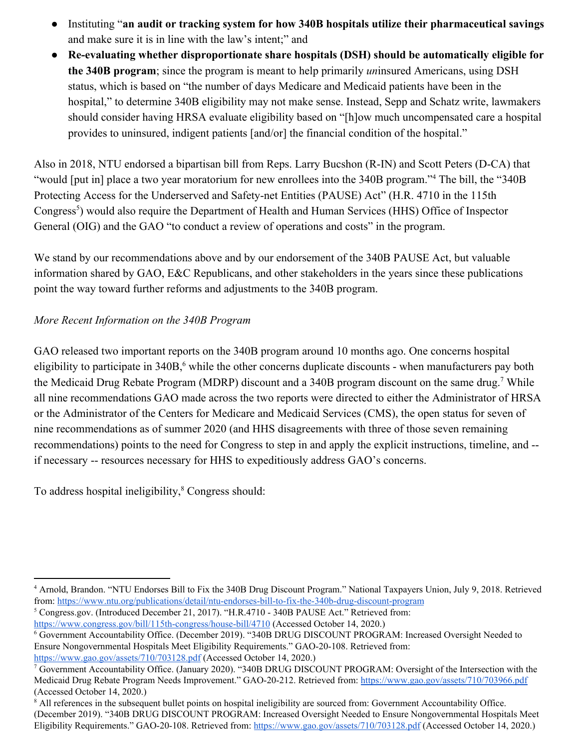- Instituting "**an audit or tracking system for how 340B hospitals utilize their pharmaceutical savings** and make sure it is in line with the law's intent;" and
- **Re-evaluating whether disproportionate share hospitals (DSH) should be automatically eligible for the 340B program**; since the program is meant to help primarily *un*insured Americans, using DSH status, which is based on "the number of days Medicare and Medicaid patients have been in the hospital," to determine 340B eligibility may not make sense. Instead, Sepp and Schatz write, lawmakers should consider having HRSA evaluate eligibility based on "[h]ow much uncompensated care a hospital provides to uninsured, indigent patients [and/or] the financial condition of the hospital."

Also in 2018, NTU endorsed a bipartisan bill from Reps. Larry Bucshon (R-IN) and Scott Peters (D-CA) that "would [put in] place a two year moratorium for new enrollees into the 340B program."<sup>4</sup> The bill, the "340B Protecting Access for the Underserved and Safety-net Entities (PAUSE) Act" (H.R. 4710 in the 115th Congress<sup>5</sup>) would also require the Department of Health and Human Services (HHS) Office of Inspector General (OIG) and the GAO "to conduct a review of operations and costs" in the program.

We stand by our recommendations above and by our endorsement of the 340B PAUSE Act, but valuable information shared by GAO, E&C Republicans, and other stakeholders in the years since these publications point the way toward further reforms and adjustments to the 340B program.

## *More Recent Information on the 340B Program*

GAO released two important reports on the 340B program around 10 months ago. One concerns hospital eligibility to participate in 340B,<sup>6</sup> while the other concerns duplicate discounts - when manufacturers pay both the Medicaid Drug Rebate Program (MDRP) discount and a 340B program discount on the same drug.<sup>7</sup> While all nine recommendations GAO made across the two reports were directed to either the Administrator of HRSA or the Administrator of the Centers for Medicare and Medicaid Services (CMS), the open status for seven of nine recommendations as of summer 2020 (and HHS disagreements with three of those seven remaining recommendations) points to the need for Congress to step in and apply the explicit instructions, timeline, and - if necessary -- resources necessary for HHS to expeditiously address GAO's concerns.

To address hospital ineligibility,<sup>8</sup> Congress should:

<sup>5</sup> Congress.gov. (Introduced December 21, 2017). "H.R.4710 - 340B PAUSE Act." Retrieved from: <https://www.congress.gov/bill/115th-congress/house-bill/4710> (Accessed October 14, 2020.)

<sup>4</sup> Arnold, Brandon. "NTU Endorses Bill to Fix the 340B Drug Discount Program." National Taxpayers Union, July 9, 2018. Retrieved from: <https://www.ntu.org/publications/detail/ntu-endorses-bill-to-fix-the-340b-drug-discount-program>

<sup>6</sup> Government Accountability Office. (December 2019). "340B DRUG DISCOUNT PROGRAM: Increased Oversight Needed to Ensure Nongovernmental Hospitals Meet Eligibility Requirements." GAO-20-108. Retrieved from: <https://www.gao.gov/assets/710/703128.pdf> (Accessed October 14, 2020.)

<sup>7</sup> Government Accountability Office. (January 2020). "340B DRUG DISCOUNT PROGRAM: Oversight of the Intersection with the Medicaid Drug Rebate Program Needs Improvement." GAO-20-212. Retrieved from: <https://www.gao.gov/assets/710/703966.pdf> (Accessed October 14, 2020.)

<sup>&</sup>lt;sup>8</sup> All references in the subsequent bullet points on hospital ineligibility are sourced from: Government Accountability Office. (December 2019). "340B DRUG DISCOUNT PROGRAM: Increased Oversight Needed to Ensure Nongovernmental Hospitals Meet Eligibility Requirements." GAO-20-108. Retrieved from: <https://www.gao.gov/assets/710/703128.pdf> (Accessed October 14, 2020.)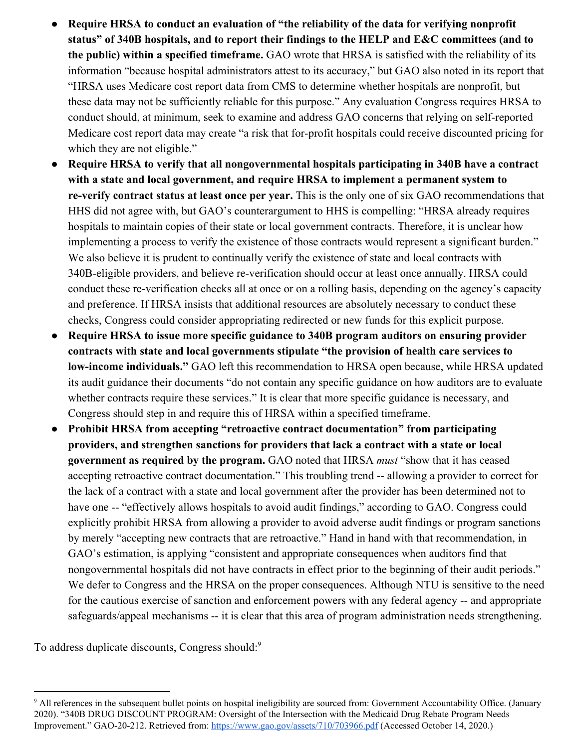- **Require HRSA to conduct an evaluation of "the reliability of the data for verifying nonprofit status" of 340B hospitals, and to report their findings to the HELP and E&C committees (and to the public) within a specified timeframe.** GAO wrote that HRSA is satisfied with the reliability of its information "because hospital administrators attest to its accuracy," but GAO also noted in its report that "HRSA uses Medicare cost report data from CMS to determine whether hospitals are nonprofit, but these data may not be sufficiently reliable for this purpose." Any evaluation Congress requires HRSA to conduct should, at minimum, seek to examine and address GAO concerns that relying on self-reported Medicare cost report data may create "a risk that for-profit hospitals could receive discounted pricing for which they are not eligible."
- **● Require HRSA to verify that all nongovernmental hospitals participating in 340B have a contract with a state and local government, and require HRSA to implement a permanent system to re-verify contract status at least once per year.** This is the only one of six GAO recommendations that HHS did not agree with, but GAO's counterargument to HHS is compelling: "HRSA already requires hospitals to maintain copies of their state or local government contracts. Therefore, it is unclear how implementing a process to verify the existence of those contracts would represent a significant burden." We also believe it is prudent to continually verify the existence of state and local contracts with 340B-eligible providers, and believe re-verification should occur at least once annually. HRSA could conduct these re-verification checks all at once or on a rolling basis, depending on the agency's capacity and preference. If HRSA insists that additional resources are absolutely necessary to conduct these checks, Congress could consider appropriating redirected or new funds for this explicit purpose.
- **● Require HRSA to issue more specific guidance to 340B program auditors on ensuring provider contracts with state and local governments stipulate "the provision of health care services to low-income individuals."** GAO left this recommendation to HRSA open because, while HRSA updated its audit guidance their documents "do not contain any specific guidance on how auditors are to evaluate whether contracts require these services." It is clear that more specific guidance is necessary, and Congress should step in and require this of HRSA within a specified timeframe.
- **● Prohibit HRSA from accepting "retroactive contract documentation" from participating providers, and strengthen sanctions for providers that lack a contract with a state or local government as required by the program.** GAO noted that HRSA *must* "show that it has ceased accepting retroactive contract documentation." This troubling trend -- allowing a provider to correct for the lack of a contract with a state and local government after the provider has been determined not to have one -- "effectively allows hospitals to avoid audit findings," according to GAO. Congress could explicitly prohibit HRSA from allowing a provider to avoid adverse audit findings or program sanctions by merely "accepting new contracts that are retroactive." Hand in hand with that recommendation, in GAO's estimation, is applying "consistent and appropriate consequences when auditors find that nongovernmental hospitals did not have contracts in effect prior to the beginning of their audit periods." We defer to Congress and the HRSA on the proper consequences. Although NTU is sensitive to the need for the cautious exercise of sanction and enforcement powers with any federal agency -- and appropriate safeguards/appeal mechanisms -- it is clear that this area of program administration needs strengthening.

To address duplicate discounts, Congress should:<sup>9</sup>

<sup>9</sup> All references in the subsequent bullet points on hospital ineligibility are sourced from: Government Accountability Office. (January 2020). "340B DRUG DISCOUNT PROGRAM: Oversight of the Intersection with the Medicaid Drug Rebate Program Needs Improvement." GAO-20-212. Retrieved from: <https://www.gao.gov/assets/710/703966.pdf> (Accessed October 14, 2020.)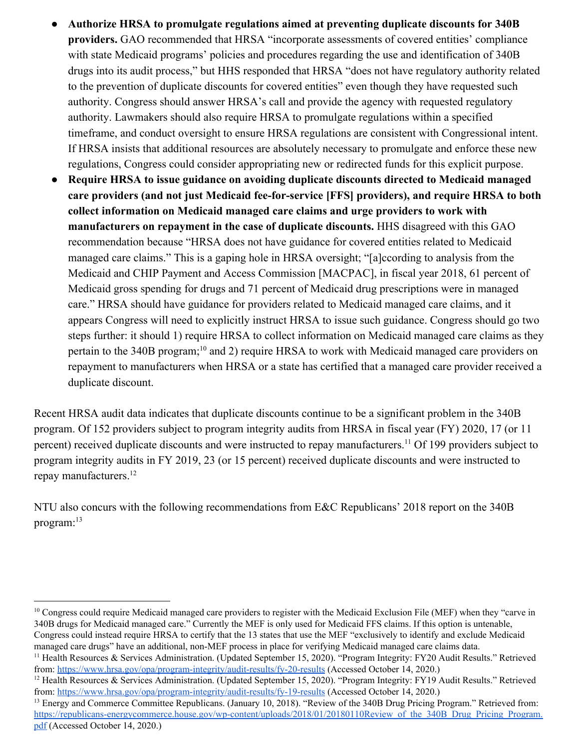- **● Authorize HRSA to promulgate regulations aimed at preventing duplicate discounts for 340B providers.** GAO recommended that HRSA "incorporate assessments of covered entities' compliance with state Medicaid programs' policies and procedures regarding the use and identification of 340B drugs into its audit process," but HHS responded that HRSA "does not have regulatory authority related to the prevention of duplicate discounts for covered entities" even though they have requested such authority. Congress should answer HRSA's call and provide the agency with requested regulatory authority. Lawmakers should also require HRSA to promulgate regulations within a specified timeframe, and conduct oversight to ensure HRSA regulations are consistent with Congressional intent. If HRSA insists that additional resources are absolutely necessary to promulgate and enforce these new regulations, Congress could consider appropriating new or redirected funds for this explicit purpose.
- **● Require HRSA to issue guidance on avoiding duplicate discounts directed to Medicaid managed care providers (and not just Medicaid fee-for-service [FFS] providers), and require HRSA to both collect information on Medicaid managed care claims and urge providers to work with manufacturers on repayment in the case of duplicate discounts.** HHS disagreed with this GAO recommendation because "HRSA does not have guidance for covered entities related to Medicaid managed care claims." This is a gaping hole in HRSA oversight; "[a]ccording to analysis from the Medicaid and CHIP Payment and Access Commission [MACPAC], in fiscal year 2018, 61 percent of Medicaid gross spending for drugs and 71 percent of Medicaid drug prescriptions were in managed care." HRSA should have guidance for providers related to Medicaid managed care claims, and it appears Congress will need to explicitly instruct HRSA to issue such guidance. Congress should go two steps further: it should 1) require HRSA to collect information on Medicaid managed care claims as they pertain to the 340B program;<sup>10</sup> and 2) require HRSA to work with Medicaid managed care providers on repayment to manufacturers when HRSA or a state has certified that a managed care provider received a duplicate discount.

Recent HRSA audit data indicates that duplicate discounts continue to be a significant problem in the 340B program. Of 152 providers subject to program integrity audits from HRSA in fiscal year (FY) 2020, 17 (or 11 percent) received duplicate discounts and were instructed to repay manufacturers.<sup>11</sup> Of 199 providers subject to program integrity audits in FY 2019, 23 (or 15 percent) received duplicate discounts and were instructed to repay manufacturers.<sup>12</sup>

NTU also concurs with the following recommendations from E&C Republicans' 2018 report on the 340B program:<sup>13</sup>

<sup>&</sup>lt;sup>10</sup> Congress could require Medicaid managed care providers to register with the Medicaid Exclusion File (MEF) when they "carve in 340B drugs for Medicaid managed care." Currently the MEF is only used for Medicaid FFS claims. If this option is untenable, Congress could instead require HRSA to certify that the 13 states that use the MEF "exclusively to identify and exclude Medicaid managed care drugs" have an additional, non-MEF process in place for verifying Medicaid managed care claims data.

<sup>11</sup> Health Resources & Services Administration. (Updated September 15, 2020). "Program Integrity: FY20 Audit Results." Retrieved from: <https://www.hrsa.gov/opa/program-integrity/audit-results/fy-20-results> (Accessed October 14, 2020.)

<sup>&</sup>lt;sup>12</sup> Health Resources & Services Administration. (Updated September 15, 2020). "Program Integrity: FY19 Audit Results." Retrieved from: <https://www.hrsa.gov/opa/program-integrity/audit-results/fy-19-results> (Accessed October 14, 2020.)

<sup>&</sup>lt;sup>13</sup> Energy and Commerce Committee Republicans. (January 10, 2018). "Review of the 340B Drug Pricing Program." Retrieved from: https://republicans-energycommerce.house.gov/wp-content/uploads/2018/01/20180110Review of the 340B Drug Pricing Program. [pdf](https://republicans-energycommerce.house.gov/wp-content/uploads/2018/01/20180110Review_of_the_340B_Drug_Pricing_Program.pdf) (Accessed October 14, 2020.)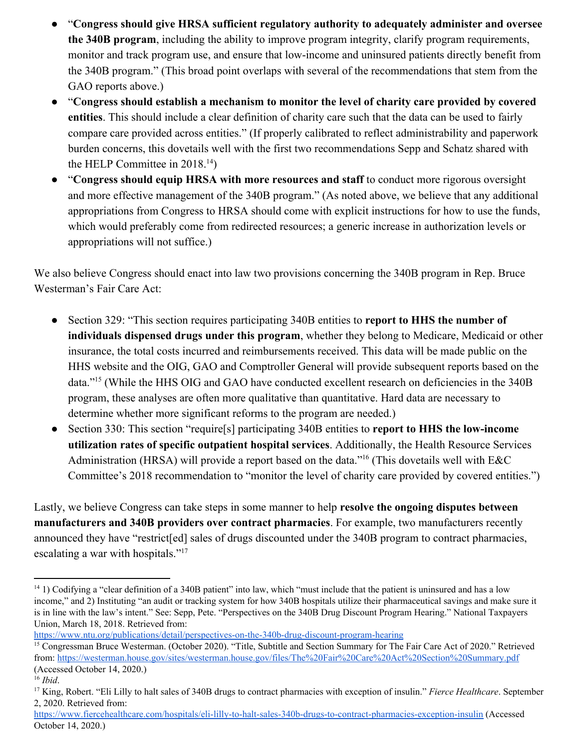- "**Congress should give HRSA sufficient regulatory authority to adequately administer and oversee the 340B program**, including the ability to improve program integrity, clarify program requirements, monitor and track program use, and ensure that low-income and uninsured patients directly benefit from the 340B program." (This broad point overlaps with several of the recommendations that stem from the GAO reports above.)
- "**Congress should establish a mechanism to monitor the level of charity care provided by covered entities**. This should include a clear definition of charity care such that the data can be used to fairly compare care provided across entities." (If properly calibrated to reflect administrability and paperwork burden concerns, this dovetails well with the first two recommendations Sepp and Schatz shared with the HELP Committee in  $2018.<sup>14</sup>$ )
- "**Congress should equip HRSA with more resources and staff** to conduct more rigorous oversight and more effective management of the 340B program." (As noted above, we believe that any additional appropriations from Congress to HRSA should come with explicit instructions for how to use the funds, which would preferably come from redirected resources; a generic increase in authorization levels or appropriations will not suffice.)

We also believe Congress should enact into law two provisions concerning the 340B program in Rep. Bruce Westerman's Fair Care Act:

- Section 329: "This section requires participating 340B entities to **report to HHS the number of individuals dispensed drugs under this program**, whether they belong to Medicare, Medicaid or other insurance, the total costs incurred and reimbursements received. This data will be made public on the HHS website and the OIG, GAO and Comptroller General will provide subsequent reports based on the data."<sup>15</sup> (While the HHS OIG and GAO have conducted excellent research on deficiencies in the 340B program, these analyses are often more qualitative than quantitative. Hard data are necessary to determine whether more significant reforms to the program are needed.)
- Section 330: This section "require<sup>[s]</sup> participating 340B entities to **report to HHS the low-income utilization rates of specific outpatient hospital services**. Additionally, the Health Resource Services Administration (HRSA) will provide a report based on the data."<sup>16</sup> (This dovetails well with  $E&C$ Committee's 2018 recommendation to "monitor the level of charity care provided by covered entities.")

Lastly, we believe Congress can take steps in some manner to help **resolve the ongoing disputes between manufacturers and 340B providers over contract pharmacies**. For example, two manufacturers recently announced they have "restrict[ed] sales of drugs discounted under the 340B program to contract pharmacies, escalating a war with hospitals."<sup>17</sup>

 $14$  1) Codifying a "clear definition of a 340B patient" into law, which "must include that the patient is uninsured and has a low income," and 2) Instituting "an audit or tracking system for how 340B hospitals utilize their pharmaceutical savings and make sure it is in line with the law's intent." See: Sepp, Pete. "Perspectives on the 340B Drug Discount Program Hearing." National Taxpayers Union, March 18, 2018. Retrieved from:

<https://www.ntu.org/publications/detail/perspectives-on-the-340b-drug-discount-program-hearing>

<sup>&</sup>lt;sup>15</sup> Congressman Bruce Westerman. (October 2020). "Title, Subtitle and Section Summary for The Fair Care Act of 2020." Retrieved from: <https://westerman.house.gov/sites/westerman.house.gov/files/The%20Fair%20Care%20Act%20Section%20Summary.pdf> (Accessed October 14, 2020.)

<sup>16</sup> *Ibid*.

<sup>17</sup> King, Robert. "Eli Lilly to halt sales of 340B drugs to contract pharmacies with exception of insulin." *Fierce Healthcare*. September 2, 2020. Retrieved from:

<https://www.fiercehealthcare.com/hospitals/eli-lilly-to-halt-sales-340b-drugs-to-contract-pharmacies-exception-insulin> (Accessed October 14, 2020.)